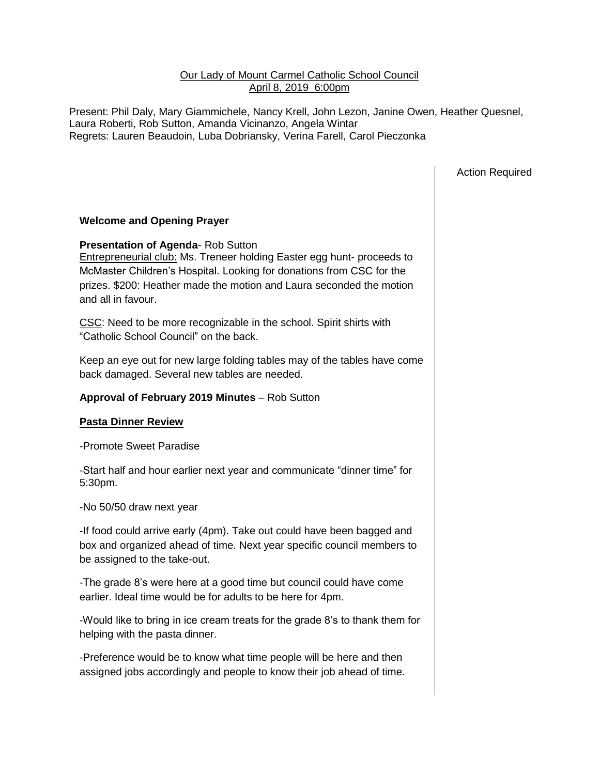## Our Lady of Mount Carmel Catholic School Council April 8, 2019 6:00pm

Present: Phil Daly, Mary Giammichele, Nancy Krell, John Lezon, Janine Owen, Heather Quesnel, Laura Roberti, Rob Sutton, Amanda Vicinanzo, Angela Wintar Regrets: Lauren Beaudoin, Luba Dobriansky, Verina Farell, Carol Pieczonka

Action Required

## **Welcome and Opening Prayer**

**Presentation of Agenda**- Rob Sutton Entrepreneurial club: Ms. Treneer holding Easter egg hunt- proceeds to McMaster Children's Hospital. Looking for donations from CSC for the prizes. \$200: Heather made the motion and Laura seconded the motion and all in favour.

CSC: Need to be more recognizable in the school. Spirit shirts with "Catholic School Council" on the back.

Keep an eye out for new large folding tables may of the tables have come back damaged. Several new tables are needed.

## **Approval of February 2019 Minutes** – Rob Sutton

## **Pasta Dinner Review**

-Promote Sweet Paradise

-Start half and hour earlier next year and communicate "dinner time" for 5:30pm.

-No 50/50 draw next year

-If food could arrive early (4pm). Take out could have been bagged and box and organized ahead of time. Next year specific council members to be assigned to the take-out.

-The grade 8's were here at a good time but council could have come earlier. Ideal time would be for adults to be here for 4pm.

-Would like to bring in ice cream treats for the grade 8's to thank them for helping with the pasta dinner.

-Preference would be to know what time people will be here and then assigned jobs accordingly and people to know their job ahead of time.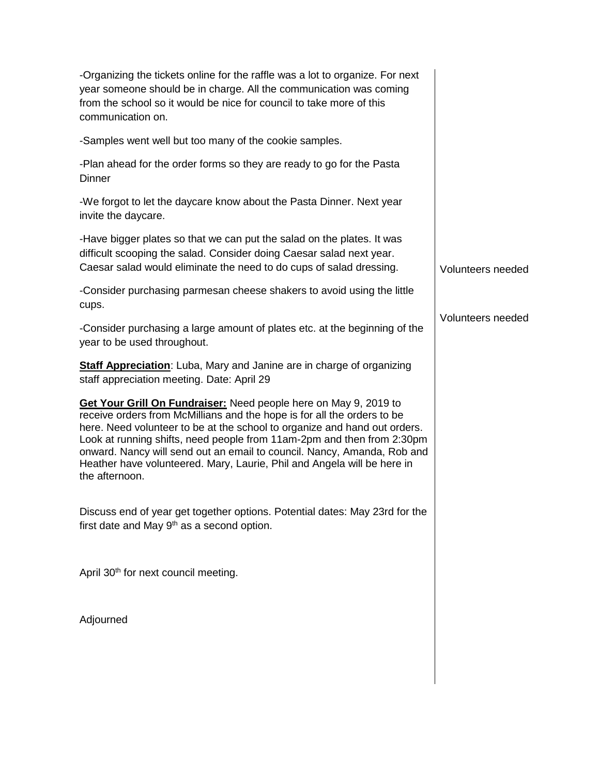| -Organizing the tickets online for the raffle was a lot to organize. For next<br>year someone should be in charge. All the communication was coming<br>from the school so it would be nice for council to take more of this<br>communication on.                                                                                                                                                                                                                           |                   |
|----------------------------------------------------------------------------------------------------------------------------------------------------------------------------------------------------------------------------------------------------------------------------------------------------------------------------------------------------------------------------------------------------------------------------------------------------------------------------|-------------------|
| -Samples went well but too many of the cookie samples.                                                                                                                                                                                                                                                                                                                                                                                                                     |                   |
| -Plan ahead for the order forms so they are ready to go for the Pasta<br>Dinner                                                                                                                                                                                                                                                                                                                                                                                            |                   |
| -We forgot to let the daycare know about the Pasta Dinner. Next year<br>invite the daycare.                                                                                                                                                                                                                                                                                                                                                                                |                   |
| -Have bigger plates so that we can put the salad on the plates. It was<br>difficult scooping the salad. Consider doing Caesar salad next year.<br>Caesar salad would eliminate the need to do cups of salad dressing.                                                                                                                                                                                                                                                      | Volunteers needed |
| -Consider purchasing parmesan cheese shakers to avoid using the little<br>cups.                                                                                                                                                                                                                                                                                                                                                                                            |                   |
| -Consider purchasing a large amount of plates etc. at the beginning of the<br>year to be used throughout.                                                                                                                                                                                                                                                                                                                                                                  | Volunteers needed |
| <b>Staff Appreciation:</b> Luba, Mary and Janine are in charge of organizing<br>staff appreciation meeting. Date: April 29                                                                                                                                                                                                                                                                                                                                                 |                   |
| Get Your Grill On Fundraiser: Need people here on May 9, 2019 to<br>receive orders from McMillians and the hope is for all the orders to be<br>here. Need volunteer to be at the school to organize and hand out orders.<br>Look at running shifts, need people from 11am-2pm and then from 2:30pm<br>onward. Nancy will send out an email to council. Nancy, Amanda, Rob and<br>Heather have volunteered. Mary, Laurie, Phil and Angela will be here in<br>the afternoon. |                   |
| Discuss end of year get together options. Potential dates: May 23rd for the<br>first date and May 9 <sup>th</sup> as a second option.                                                                                                                                                                                                                                                                                                                                      |                   |
| April 30 <sup>th</sup> for next council meeting.                                                                                                                                                                                                                                                                                                                                                                                                                           |                   |
| Adjourned                                                                                                                                                                                                                                                                                                                                                                                                                                                                  |                   |
|                                                                                                                                                                                                                                                                                                                                                                                                                                                                            |                   |